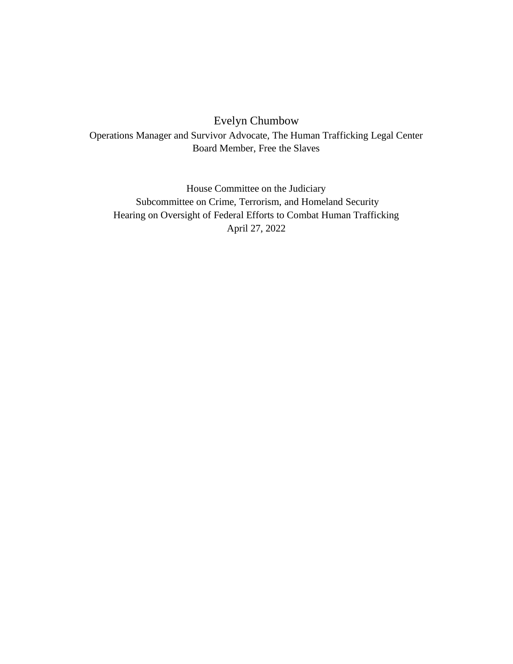Evelyn Chumbow

Operations Manager and Survivor Advocate, The Human Trafficking Legal Center Board Member, Free the Slaves

House Committee on the Judiciary Subcommittee on Crime, Terrorism, and Homeland Security Hearing on Oversight of Federal Efforts to Combat Human Trafficking April 27, 2022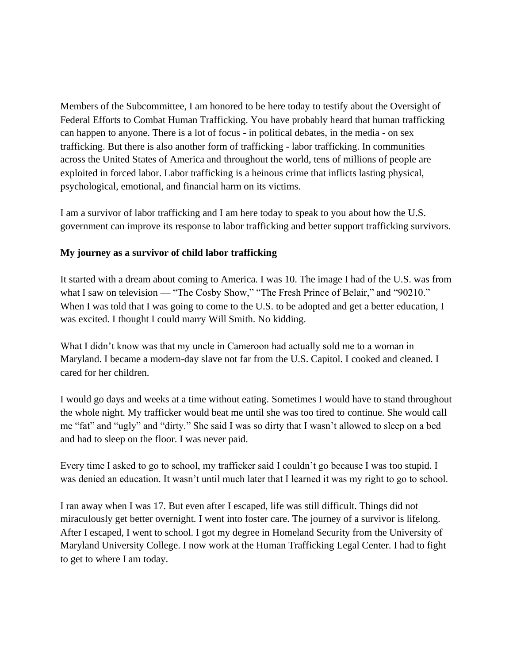Members of the Subcommittee, I am honored to be here today to testify about the Oversight of Federal Efforts to Combat Human Trafficking. You have probably heard that human trafficking can happen to anyone. There is a lot of focus - in political debates, in the media - on sex trafficking. But there is also another form of trafficking - labor trafficking. In communities across the United States of America and throughout the world, tens of millions of people are exploited in forced labor. Labor trafficking is a heinous crime that inflicts lasting physical, psychological, emotional, and financial harm on its victims.

I am a survivor of labor trafficking and I am here today to speak to you about how the U.S. government can improve its response to labor trafficking and better support trafficking survivors.

## **My journey as a survivor of child labor trafficking**

It started with a dream about coming to America. I was 10. The image I had of the U.S. was from what I saw on television — "The Cosby Show," "The Fresh Prince of Belair," and "90210." When I was told that I was going to come to the U.S. to be adopted and get a better education, I was excited. I thought I could marry Will Smith. No kidding.

What I didn't know was that my uncle in Cameroon had actually sold me to a woman in Maryland. I became a modern-day slave not far from the U.S. Capitol. I cooked and cleaned. I cared for her children.

I would go days and weeks at a time without eating. Sometimes I would have to stand throughout the whole night. My trafficker would beat me until she was too tired to continue. She would call me "fat" and "ugly" and "dirty." She said I was so dirty that I wasn't allowed to sleep on a bed and had to sleep on the floor. I was never paid.

Every time I asked to go to school, my trafficker said I couldn't go because I was too stupid. I was denied an education. It wasn't until much later that I learned it was my right to go to school.

I ran away when I was 17. But even after I escaped, life was still difficult. Things did not miraculously get better overnight. I went into foster care. The journey of a survivor is lifelong. After I escaped, I went to school. I got my degree in Homeland Security from the University of Maryland University College. I now work at the Human Trafficking Legal Center. I had to fight to get to where I am today.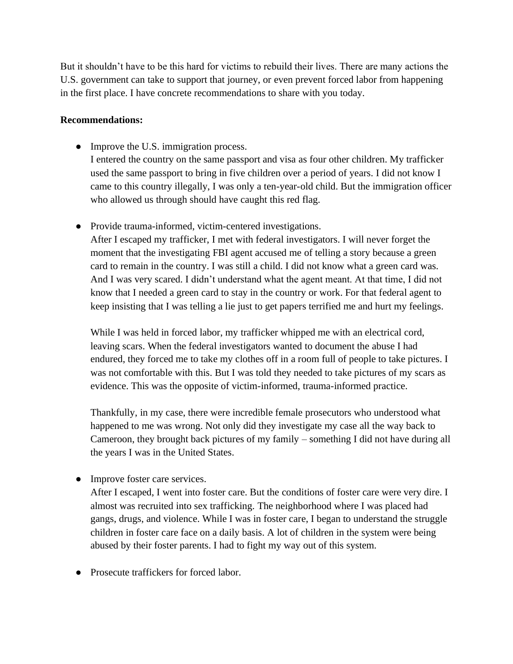But it shouldn't have to be this hard for victims to rebuild their lives. There are many actions the U.S. government can take to support that journey, or even prevent forced labor from happening in the first place. I have concrete recommendations to share with you today.

## **Recommendations:**

- Improve the U.S. immigration process. I entered the country on the same passport and visa as four other children. My trafficker used the same passport to bring in five children over a period of years. I did not know I came to this country illegally, I was only a ten-year-old child. But the immigration officer who allowed us through should have caught this red flag.
- Provide trauma-informed, victim-centered investigations. After I escaped my trafficker, I met with federal investigators. I will never forget the moment that the investigating FBI agent accused me of telling a story because a green card to remain in the country. I was still a child. I did not know what a green card was. And I was very scared. I didn't understand what the agent meant. At that time, I did not know that I needed a green card to stay in the country or work. For that federal agent to keep insisting that I was telling a lie just to get papers terrified me and hurt my feelings.

While I was held in forced labor, my trafficker whipped me with an electrical cord, leaving scars. When the federal investigators wanted to document the abuse I had endured, they forced me to take my clothes off in a room full of people to take pictures. I was not comfortable with this. But I was told they needed to take pictures of my scars as evidence. This was the opposite of victim-informed, trauma-informed practice.

Thankfully, in my case, there were incredible female prosecutors who understood what happened to me was wrong. Not only did they investigate my case all the way back to Cameroon, they brought back pictures of my family – something I did not have during all the years I was in the United States.

• Improve foster care services.

After I escaped, I went into foster care. But the conditions of foster care were very dire. I almost was recruited into sex trafficking. The neighborhood where I was placed had gangs, drugs, and violence. While I was in foster care, I began to understand the struggle children in foster care face on a daily basis. A lot of children in the system were being abused by their foster parents. I had to fight my way out of this system.

● Prosecute traffickers for forced labor.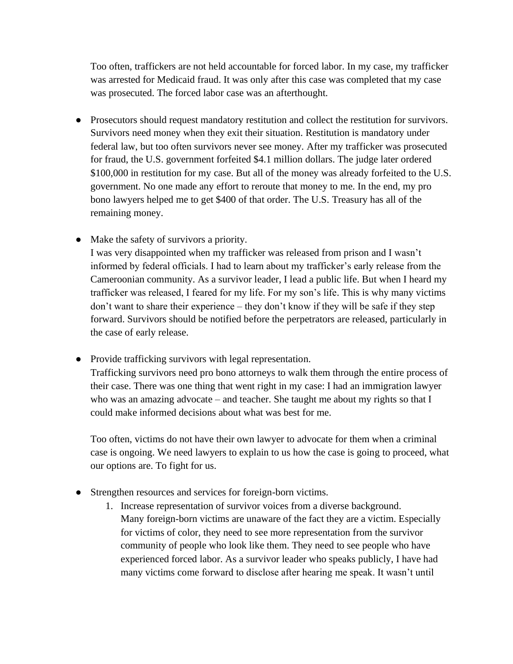Too often, traffickers are not held accountable for forced labor. In my case, my trafficker was arrested for Medicaid fraud. It was only after this case was completed that my case was prosecuted. The forced labor case was an afterthought.

- Prosecutors should request mandatory restitution and collect the restitution for survivors. Survivors need money when they exit their situation. Restitution is mandatory under federal law, but too often survivors never see money. After my trafficker was prosecuted for fraud, the U.S. government forfeited \$4.1 million dollars. The judge later ordered \$100,000 in restitution for my case. But all of the money was already forfeited to the U.S. government. No one made any effort to reroute that money to me. In the end, my pro bono lawyers helped me to get \$400 of that order. The U.S. Treasury has all of the remaining money.
- Make the safety of survivors a priority.

I was very disappointed when my trafficker was released from prison and I wasn't informed by federal officials. I had to learn about my trafficker's early release from the Cameroonian community. As a survivor leader, I lead a public life. But when I heard my trafficker was released, I feared for my life. For my son's life. This is why many victims don't want to share their experience – they don't know if they will be safe if they step forward. Survivors should be notified before the perpetrators are released, particularly in the case of early release.

● Provide trafficking survivors with legal representation. Trafficking survivors need pro bono attorneys to walk them through the entire process of their case. There was one thing that went right in my case: I had an immigration lawyer who was an amazing advocate – and teacher. She taught me about my rights so that I could make informed decisions about what was best for me.

Too often, victims do not have their own lawyer to advocate for them when a criminal case is ongoing. We need lawyers to explain to us how the case is going to proceed, what our options are. To fight for us.

- Strengthen resources and services for foreign-born victims.
	- 1. Increase representation of survivor voices from a diverse background. Many foreign-born victims are unaware of the fact they are a victim. Especially for victims of color, they need to see more representation from the survivor community of people who look like them. They need to see people who have experienced forced labor. As a survivor leader who speaks publicly, I have had many victims come forward to disclose after hearing me speak. It wasn't until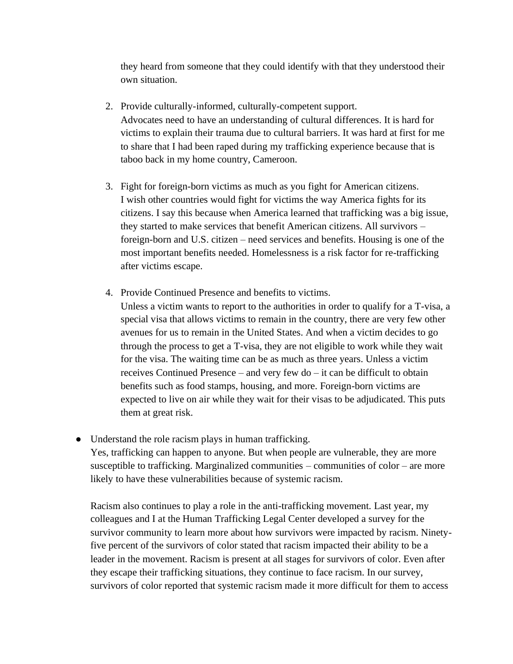they heard from someone that they could identify with that they understood their own situation.

- 2. Provide culturally-informed, culturally-competent support. Advocates need to have an understanding of cultural differences. It is hard for victims to explain their trauma due to cultural barriers. It was hard at first for me to share that I had been raped during my trafficking experience because that is taboo back in my home country, Cameroon.
- 3. Fight for foreign-born victims as much as you fight for American citizens. I wish other countries would fight for victims the way America fights for its citizens. I say this because when America learned that trafficking was a big issue, they started to make services that benefit American citizens. All survivors – foreign-born and U.S. citizen – need services and benefits. Housing is one of the most important benefits needed. Homelessness is a risk factor for re-trafficking after victims escape.
- 4. Provide Continued Presence and benefits to victims.
	- Unless a victim wants to report to the authorities in order to qualify for a T-visa, a special visa that allows victims to remain in the country, there are very few other avenues for us to remain in the United States. And when a victim decides to go through the process to get a T-visa, they are not eligible to work while they wait for the visa. The waiting time can be as much as three years. Unless a victim receives Continued Presence – and very few do – it can be difficult to obtain benefits such as food stamps, housing, and more. Foreign-born victims are expected to live on air while they wait for their visas to be adjudicated. This puts them at great risk.
- Understand the role racism plays in human trafficking. Yes, trafficking can happen to anyone. But when people are vulnerable, they are more susceptible to trafficking. Marginalized communities – communities of color – are more likely to have these vulnerabilities because of systemic racism.

Racism also continues to play a role in the anti-trafficking movement. Last year, my colleagues and I at the Human Trafficking Legal Center developed a survey for the survivor community to learn more about how survivors were impacted by racism. Ninetyfive percent of the survivors of color stated that racism impacted their ability to be a leader in the movement. Racism is present at all stages for survivors of color. Even after they escape their trafficking situations, they continue to face racism. In our survey, survivors of color reported that systemic racism made it more difficult for them to access